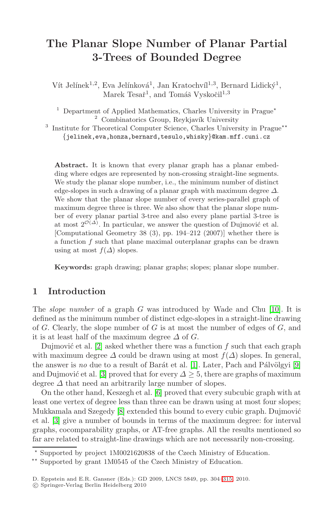# **The Planar Slope Number of Planar Partial 3-Trees of Bounded Degree**

Vít Jelínek<sup>1,2</sup>, Eva Jelínková<sup>1</sup>, Jan Kratochvíl<sup>1,3</sup>, Bernard Lidický<sup>1</sup>, Marek Tesař<sup>1</sup>, and Tomáš Vyskočil<sup>1,3</sup>

<sup>1</sup> Department of Applied Mathematics, Charles University in Prague<sup>\*</sup>  $2$  Combinatorics Group, Reykjavík University

<sup>3</sup> Institute for Theoretical Computer Science, Charles University in Prague<sup>\*\*</sup> *{*jelinek,eva,honza,bernard,tesulo,whisky*}*@kam.mff.cuni.cz

Abstract. It is known that every planar graph has a planar embedding where edges are represented by non-crossing straight-line segments. We study the planar slope number, i.e., the minimum number of distinct edge-slopes in such a drawing of a planar graph with maximum degree  $\Delta$ . We show that the planar slope number of every series-parallel graph of maximum degree three is three. We also show that the planar slope number of every planar partial 3-tree and also every plane partial 3-tree is at most  $2^{\mathcal{O}(\Delta)}$ . In particular, we answer the question of Dujmović et al. [Computational Geometry 38 (3), pp. 194–212 [\(200](#page-11-0)7)] whether there is a function  $f$  such that plane maximal outerplanar graphs can be drawn using at most  $f(\Delta)$  slopes.

**Keywords:** graph drawing; planar graphs; slopes; planar slope number.

### **1 Introduction**

The *slope number* of a graph G was introduced by Wade and Chu [10]. It is defined as the mi[nim](#page-11-1)um number of distinct edge-slopes in a straight-line drawing of  $G$ . Clearly, the slope number of  $G$  is at most the number of edges of  $G$ , and it is a[t l](#page-11-2)east half of the maximum degree  $\Delta$  of G.

Dujmović et al.  $[2]$  asked whether there was a function f such that each graph with maximum degree  $\Delta$  could be drawn using at most  $f(\Delta)$  slopes. In general, the answer is *no* due to a result of Barát et al. [1]. Later, Pach and Pálvölgyi [9] and Dujmović et al. [3] proved that for every  $\Delta \geq 5$ , there are graphs of maximum degree  $\Delta$  that need an arbitrarily large number of slopes.

On the other hand, Keszegh et al. [6] proved that every subcubic graph with at least one vertex of degree less than three can be drawn using at most four slopes; Mukkamala and Szegedy [8] extended [this](#page-11-3) bound to every cubic graph. Dujmović et al. [3] give a number of bounds in terms of the maximum degree: for interval graphs, cocomparability graphs, or AT-free graphs. All the results mentioned so far are related to straight-line drawings which are not necessarily non-crossing.

<sup>-</sup> Supported by project 1M0021620838 of the Czech Ministry of Education.

<sup>\*\*</sup> Supported by grant 1M0545 of the Czech Ministry of Education.

D. Eppstein and E.R. Gansner (Eds.): GD 2009, LNCS 5849, pp. 304–315, 2010.

<sup>-</sup>c Springer-Verlag Berlin Heidelberg 2010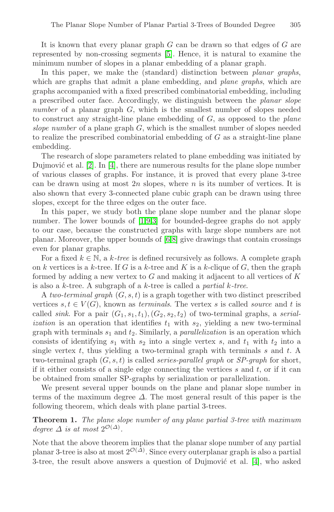It is known that every planar graph  $G$  can be drawn so that edges of  $G$  are represented by non-crossing segments [5]. Hence, it is natural to examine the minimum number of slopes in a planar embedding of a planar graph.

In this paper, we make the (standard) distinction between *planar graphs*, which are graphs that admit a plane embedding, and *plane graphs*, which are gra[ph](#page-11-4)s accompanied with a fixed prescribed combinatorial embedding, including a prescribed outer face. Accordingly, we distinguish between the *planar slope number* of a planar graph G, which is the smallest number of slopes needed to construct any straight-line plane embedding of G, as opposed to the *plane slope number* of a plane graph G, which is the smallest number of slopes needed to realize the prescribed combinatorial embedding of  $G$  as a straight-line plane embedding.

The resea[rc](#page-11-5)[h](#page-11-6) [of](#page-11-7) slope parameters related to plane embedding was initiated by Dujmović et al.  $[2]$ . [In](#page-11-1)  $[4]$ , there are numerous results for the plane slope number of various classes of graphs. For instance, it is proved that every plane 3-tree can be drawn using at most  $2n$  slopes, where n is its number of vertices. It is also shown that every 3-connected plane cubic graph can be drawn using three slopes, except for the three edges on the outer face.

In this paper, we study both the plane slope number and the planar slope number. The lower bounds of [1,9,3] for bounded-degree graphs do not apply to our case, because the constructed graphs with large slope numbers are not planar. Moreover, the upper bounds of [6,8] give drawings that contain crossings even for planar graphs.

For a fixed  $k \in \mathbb{N}$ , a k-tree is defined recursively as follows. A complete graph on k vertices is a k-tree. If G is a k-tree and K is a k-clique of G, then the graph formed by adding a new vertex to  $G$  and making it adjacent to all vertices of  $K$ is also a k-tree. A subgraph of a k-tree is called a *partial* k*-tree*.

A *two-terminal graph* (G, s, t) is a graph together with two distinct prescribed vertices  $s, t \in V(G)$ , known as *terminals*. The vertex s is called *source* and t is called *sink*. For a pair  $(G_1, s_1, t_1), (G_2, s_2, t_2)$  of two-terminal graphs, a *serialization* is an operation that identifies  $t_1$  with  $s_2$ , yielding a new two-terminal graph with terminals  $s_1$  and  $t_2$ . Similarly, a *parallelization* is an operation which consists of identifying  $s_1$  with  $s_2$  into a single vertex s, and  $t_1$  with  $t_2$  into a single vertex t, thus yielding a two-terminal graph with terminals s and t. A two-terminal graph (G, s, t) is called *series-parallel graph* or *SP-graph* for short, if it either consists of a single edge connecting the vertices  $s$  and  $t$ , or if it can be obtained from smaller SP-graphs by serialization or parallelization.

We present several upper bounds on the p[lan](#page-11-4)e and planar slope number in terms of the maximum degree  $\Delta$ . The most general result of this paper is the following theorem, which deals with plane partial 3-trees.

### **Theorem 1.** *The plane slope number of any plane partial 3-tree with maximum degree*  $\Delta$  *is at most*  $2^{\mathcal{O}(\Delta)}$ *.*

Note that the above theorem implies that the planar slope number of any partial planar 3-tree is also at most  $2^{\mathcal{O}(\Delta)}$ . Since every outerplanar graph is also a partial 3-tree, the result above answers a question of Dujmović et al.  $[4]$ , who asked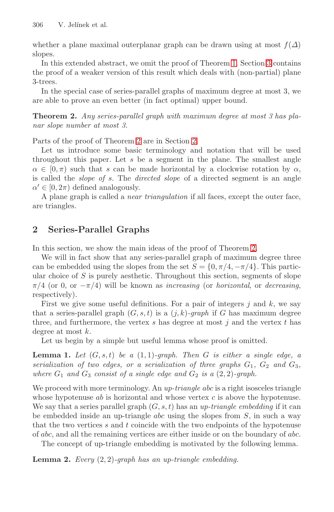<span id="page-2-0"></span>306 V. Jelínek et al.

whether a plane maximal outerplanar graph can be drawn using at most  $f(\Delta)$ slopes.

In this extended abstract, we omit the proof of Theorem 1. Section 3 contains the proof o[f](#page-2-0) [a](#page-2-0) weaker versio[n](#page-2-1) [o](#page-2-1)f this result which deals with (non-partial) plane 3-trees.

In the special case of series-parallel graphs of maximum degree at most 3, we are able to prove an even better (in fact optimal) upper bound.

**Theorem 2.** *Any series-parallel graph with maximum degree at most 3 has planar slope number at most 3.*

Parts of the proof of Theorem 2 are in Section 2.

<span id="page-2-1"></span>Let us introduce some basic terminology and notation that will be used throughout this paper. Let  $s$  be a segment in the plane. The smallest angle  $\alpha \in [0, \pi)$  such that s can be made horizontal by a clockwise rotation by  $\alpha$ , is called the *slope of* s. The *directed slope* [of](#page-2-0) a directed segment is an angle  $\alpha' \in [0, 2\pi)$  defined analogously.

A plane graph is called a *near triangulation* if all faces, except the outer face, are triangles.

# **2 Series-Parallel Graphs**

In this section, we show the main ideas of the proof of Theorem 2.

<span id="page-2-2"></span>We will in fact show that any series-parallel graph of maximum degree three can be embedded using the slopes from the set  $S = \{0, \pi/4, -\pi/4\}$ . This particular choice of  $S$  is purely aesthetic. Throughout this section, segments of slope  $\pi/4$  (or 0, or  $-\pi/4$ ) will be known as *increasing* (or *horizontal*, or *decreasing*, respectively).

First we give some useful definitions. For a pair of integers  $j$  and  $k$ , we say that a series-parallel graph  $(G, s, t)$  is a  $(j, k)$ -graph if G has maximum degree three, and furthermore, the vertex  $s$  has degree at most  $j$  and the vertex  $t$  has degree at most k.

Let us begin by a simple but useful lemma whose proof is omitted.

**Lemma 1.** *Let*  $(G, s, t)$  *be a*  $(1, 1)$ *-graph. Then*  $G$  *is either a single edge, a serialization of two edges, or a serialization of three graphs*  $G_1$ ,  $G_2$  and  $G_3$ , *where*  $G_1$  *and*  $G_3$  *consist of a single edge and*  $G_2$  *is a*  $(2, 2)$ *-graph.* 

We proceed with more terminology. An *up-triangle abc* is a right isosceles triangle whose hypotenuse  $ab$  is horizontal and whose vertex  $c$  is above the hypotenuse. We say that a series parallel graph  $(G, s, t)$  has an *up-triangle embedding* if it can be embedded inside an up-triangle *abc* using the slopes from  $S$ , in such a way that the two vertices  $s$  and  $t$  coincide with the two endpoints of the hypotenuse of abc, and all the remaining vertices are either inside or on the boundary of abc.

The concept of up-triangle embedding is motivated by the following lemma.

**Lemma 2.** *Every* (2, 2)*-graph has an up-triangle embedding.*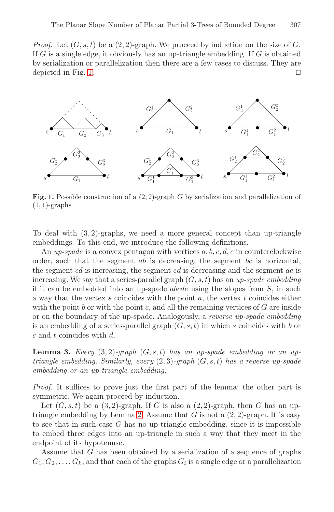*Proof.* Let  $(G, s, t)$  be a  $(2, 2)$ -graph. We proceed by induction on the size of G. If  $G$  is a single edge, it obviously has an up-triangle embedding. If  $G$  is obtained by serialization or parallelization then there are a few cases to discuss. They are depicted in Fig. 1.  $\Box$ 



Fig. 1. Possible construction of a  $(2, 2)$ -graph G by serialization and parallelization of  $(1, 1)$ -graphs

To deal with  $(3, 2)$ -graphs, we need a more general concept than up-triangle embeddings. To this end, we introduce the following definitions.

An *up-spade* is a convex pentagon with vertices a, b, c, d, e in counterclockwise order, such that the segment  $ab$  is decreasing, the segment  $bc$  is horizontal, the segment cd is increasing, the segment ed is decreasing and the segment ae is increasing. We say that a series-parallel graph (G, s, t) has an *up-spade embedding* if it can be embedded into an up-spade  $abcde$  using the slopes from  $S$ , in such a way that the vertex  $s$  coincides with the point  $a$ , the vertex  $t$  coincides either with the point b or with the point c, and all the remaining vertices of  $G$  are inside or on the boundary of the up-spade. Analogously, a *reverse up-spade embedding* is an embedding of a series-parallel graph  $(G, s, t)$  in which s coincides with b or c and t coincides with d.

**Lemma 3.** *Every*  $(3, 2)$ -graph  $(G, s, t)$  *has an up-spade embedding or an uptriangle embedding. Similarly, every* (2, 3)*-graph* (G, s, t) *has a reverse up-spade embedding or an up-triangle embedding.*

*Proof.* It suffices to prove just the first part of the lemma; the other part is symmetric. We again proceed by induction.

Let  $(G, s, t)$  be a  $(3, 2)$ -graph. If G is also a  $(2, 2)$ -graph, then G has an uptriangle embedding by Lemma 2. Assume that  $G$  is not a  $(2, 2)$ -graph. It is easy to see that in such case  $G$  has no up-triangle embedding, since it is impossible to embed three edges into an up-triangle in such a way that they meet in the endpoint of its hypotenuse.

Assume that G has been obtained by a serialization of a sequence of graphs  $G_1, G_2, \ldots, G_k$ , and that each of the graphs  $G_i$  is a single edge or a parallelization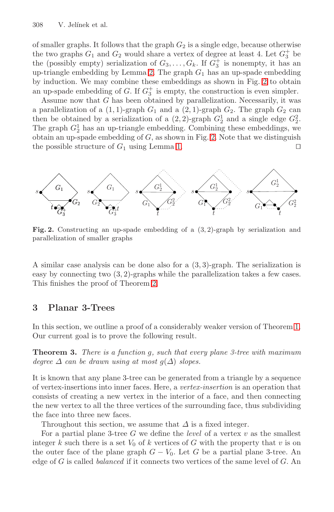#### 308 V. Jelínek et al.

of smaller graphs. It follows that the graph  $G_2$  is a single edge, because otherwise the two graphs  $G_1$  and  $G_2$  would share a vertex of degree at least 4. Let  $G_3^+$  be the (possibly empty) serializatio[n o](#page-4-0)f  $G_3, \ldots, G_k$ . If  $G_3^+$  is nonempty, it has an up-triangle embedding [by](#page-2-2) Lemma 2. The graph  $G_1$  has an up-spade embedding by induction. We may combine these embeddings as shown in Fig. 2 to obtain an up-spade embedding of G. If  $G_3^+$  is empty, the construction is even simpler.

Assume now that G has been obtained by parallelization. Necessarily, it was a parallelization of a  $(1, 1)$ -graph  $G_1$  and a  $(2, 1)$ -graph  $G_2$ . The graph  $G_2$  can then be obtained by a serialization of a  $(2, 2)$ -graph  $G_2^1$  and a single edge  $G_2^2$ . The graph  $G_2^1$  has an up-triangle embedding. Combining these embeddings, we obtain an up-spade embedding of  $G$ , as shown in Fig. 2. Note that we distinguish the possible structure of  $G_1$  using Lemma 1.

<span id="page-4-0"></span>

**Fig. 2.** Constructing an up-spade embedding of a (3, 2)-graph by serialization and parallelization of smaller graphs

A similar case analysis can be done also for a (3, 3)-graph. The serialization is easy by connecting two (3, 2)-graphs while the parallelization takes a few cases. This finishes the proof of Theorem 2.

# **3 Planar 3-Trees**

In this section, we outline a proof of a considerably weaker version of Theorem 1. Our current goal is to prove the following result.

**Theorem 3.** *There is a function* g*, such that every plane 3-tree with maximum degree*  $\Delta$  *can be drawn using at most*  $g(\Delta)$  *slopes.* 

It is known that any plane 3-tree can be generated from a triangle by a sequence of vertex-insertions into inner faces. Here, a *vertex-insertion* is an operation that consists of creating a new vertex in the interior of a face, and then connecting the new vertex to all the three vertices of the surrounding face, thus subdividing the face into three new faces.

Throughout this section, we assume that  $\Delta$  is a fixed integer.

For a partial plane 3-tree  $G$  we define the *level* of a vertex  $v$  as the smallest integer k such there is a set  $V_0$  of k vertices of G with the property that v is on the outer face of the plane graph  $G - V_0$ . Let G be a partial plane 3-tree. An edge of G is called *balanced* if it connects two vertices of the same level of G. An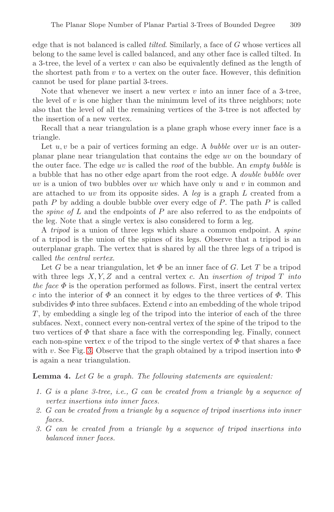edge that is not balanced is called *tilted*. Similarly, a face of G whose vertices all belong to the same level is called balanced, and any other face is called tilted. In a 3-tree, the level of a vertex  $v$  can also be equivalently defined as the length of the shortest path from  $v$  to a vertex on the outer face. However, this definition cannot be used for plane partial 3-trees.

Note that whenever we insert a new vertex  $v$  into an inner face of a 3-tree, the level of  $v$  is one higher than the minimum level of its three neighbors; note also that the level of all the remaining vertices of the 3-tree is not affected by the insertion of a new vertex.

Recall that a near triangulation is a plane graph whose every inner face is a triangle.

Let u, v be a pair of vertices forming an edge. A *bubble* over uv is an outerplanar plane near triangulation that contains the edge uv on the boundary of the outer face. The edge uv is called the *root* of the bubble. An *empty bubble* is a bubble that has no other edge apart from the root edge. A *double bubble* over uv is a union of two bubbles over uv which have only u and v in common and are attached to uv from its opposite sides. A *leg* is a graph L created from a path  $P$  by adding a double bubble over every edge of  $P$ . The path  $P$  is called the *spine of* L and the endpoints of P are also referred to as the endpoints of the leg. Note that a single vertex is also considered to form a leg.

A *tripod* is a union of three legs which share a common endpoint. A *spine* of a tripod is the union of the spines of its legs. Observe that a tripod is an outerplanar graph. The vertex that is shared by all the three legs of a tripod is called *the central vertex*.

Let G be a near triangulation, let  $\Phi$  be an inner face of G. Let T be a tripod with three legs X, Y, Z and a central vertex c. An *insertion of tripod* T *into the face*  $\Phi$  is the operation performed as follows. First, insert the central vertex c into the interior of  $\Phi$  an connect it by edges to the three vertices of  $\Phi$ . This subdivides  $\Phi$  into three subfaces. Extend c into an embedding of the whole tripod  $T$ , by embedding a single leg of the tripod into the interior of each of the three subfaces. Next, connect every non-central vertex of the spine of the tripod to the two vertices of  $\Phi$  that share a face with the corresponding leg. Finally, connect each non-spine vertex v of the tripod to the single vertex of  $\Phi$  that shares a face with v. See Fig. 3. Observe that the graph obtained by a tripod insertion into  $\Phi$ is again a near triangulation.

**Lemma 4.** *Let* G *be a graph. The following statements are equivalent:*

- *1.* G *is a plane 3-tree, i.e.,* G *can be created from a triangle by a sequence of vertex insertions into inner faces.*
- *2.* G *can be created from a triangle by a sequence of tripod insertions into inner faces.*
- *3.* G *can be created from a triangle by a sequence of tripod insertions into balanced inner faces.*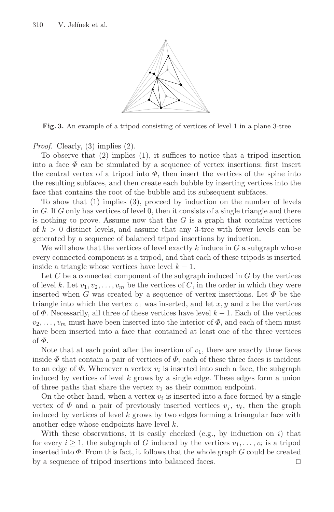

**Fig. 3.** An example of a tripod consisting of vertices of level 1 in a plane 3-tree

*Proof.* Clearly, (3) implies (2).

To observe that (2) implies (1), it suffices to notice that a tripod insertion into a face  $\Phi$  can be simulated by a sequence of vertex insertions: first insert the central vertex of a tripod into  $\Phi$ , then insert the vertices of the spine into the resulting subfaces, and then create each bubble by inserting vertices into the face that contains the root of the bubble and its subsequent subfaces.

To show that (1) implies (3), proceed by induction on the number of levels in  $G$ . If  $G$  only has vertices of level  $0$ , then it consists of a single triangle and there is nothing to prove. Assume now that the  $G$  is a graph that contains vertices of  $k > 0$  distinct levels, and assume that any 3-tree with fewer levels can be generated by a sequence of balanced tripod insertions by induction.

We will show that the vertices of level exactly  $k$  induce in  $G$  a subgraph whose every connected component is a tripod, and that each of these tripods is inserted inside a triangle whose vertices have level  $k - 1$ .

Let  $C$  be a connected component of the subgraph induced in  $G$  by the vertices of level k. Let  $v_1, v_2, \ldots, v_m$  be the vertices of C, in the order in which they were inserted when G was created by a sequence of vertex insertions. Let  $\Phi$  be the triangle into which the vertex  $v_1$  was inserted, and let x, y and z be the vertices of  $\Phi$ . Necessarily, all three of these vertices have level  $k-1$ . Each of the vertices  $v_2,\ldots,v_m$  must have been inserted into the interior of  $\Phi$ , and each of them must have been inserted into a face that contained at least one of the three vertices of  $\Phi$ .

Note that at each point after the insertion of  $v_1$ , there are exactly three faces inside  $\Phi$  that contain a pair of vertices of  $\Phi$ ; each of these three faces is incident to an edge of  $\Phi$ . Whenever a vertex  $v_i$  is inserted into such a face, the subgraph induced by vertices of level  $k$  grows by a single edge. These edges form a union of three paths that share the vertex  $v_1$  as their common endpoint.

On the other hand, when a vertex  $v_i$  is inserted into a face formed by a single vertex of  $\Phi$  and a pair of previously inserted vertices  $v_i$ ,  $v_{\ell}$ , then the graph induced by vertices of level  $k$  grows by two edges forming a triangular face with another edge whose endpoints have level k.

With these observations, it is easily checked (e.g., by induction on  $i$ ) that for every  $i \geq 1$ , the subgraph of G induced by the vertices  $v_1, \ldots, v_i$  is a tripod inserted into  $\Phi$ . From this fact, it follows that the whole graph G could be created by a sequence of tripod insertions into balanced faces.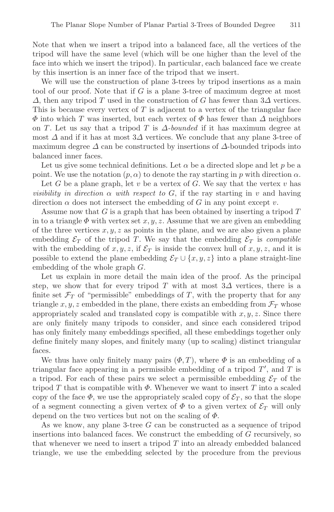Note that when we insert a tripod into a balanced face, all the vertices of the tripod will have the same level (which will be one higher than the level of the face into which we insert the tripod). In particular, each balanced face we create by this insertion is an inner face of the tripod that we insert.

We will use the construction of plane 3-trees by tripod insertions as a main tool of our proof. Note that if  $G$  is a plane 3-tree of maximum degree at most  $\Delta$ , then any tripod T used in the construction of G has fewer than 3 $\Delta$  vertices. This is because every vertex of T is adjacent to a vertex of the triangular face  $\Phi$  into which T was inserted, but each vertex of  $\Phi$  has fewer than  $\Delta$  neighbors on T. Let us say that a tripod T is  $\Delta$ -bounded if it has maximum degree at most  $\Delta$  and if it has at most  $3\Delta$  vertices. We conclude that any plane 3-tree of maximum degree  $\Delta$  can be constructed by insertions of  $\Delta$ -bounded tripods into balanced inner faces.

Let us give some technical definitions. Let  $\alpha$  be a directed slope and let p be a point. We use the notation  $(p, \alpha)$  to denote the ray starting in p with direction  $\alpha$ .

Let G be a plane graph, let  $v$  be a vertex of G. We say that the vertex  $v$  has *visibility in direction*  $\alpha$  *with respect to*  $G$ , if the ray starting in v and having direction  $\alpha$  does not intersect the embedding of G in any point except v.

Assume now that G is a graph that has been obtained by inserting a tripod T in to a triangle  $\Phi$  with vertex set  $x, y, z$ . Assume that we are given an embedding of the three vertices  $x, y, z$  as points in the plane, and we are also given a plane embedding  $\mathcal{E}_T$  of the tripod T. We say that the embedding  $\mathcal{E}_T$  is *compatible* with the embedding of x, y, z, if  $\mathcal{E}_T$  is inside the convex hull of x, y, z, and it is possible to extend the plane embedding  $\mathcal{E}_T \cup \{x, y, z\}$  into a plane straight-line embedding of the whole graph G.

Let us explain in more detail the main idea of the proof. As the principal step, we show that for every tripod T with at most  $3\Delta$  vertices, there is a finite set  $\mathcal{F}_T$  of "permissible" embeddings of T, with the property that for any triangle x, y, z embedded in the plane, there exists an embedding from  $\mathcal{F}_T$  whose appropriately scaled and translated copy is compatible with  $x, y, z$ . Since there are only finitely many tripods to consider, and since each considered tripod has only finitely many embeddings specified, all these embeddings together only define finitely many slopes, and finitely many (up to scaling) distinct triangular faces.

We thus have only finitely many pairs  $(\Phi, T)$ , where  $\Phi$  is an embedding of a triangular face appearing in a permissible embedding of a tripod  $T'$ , and  $T$  is a tripod. For each of these pairs we select a permissible embedding  $\mathcal{E}_T$  of the tripod T that is compatible with  $\Phi$ . Whenever we want to insert T into a scaled copy of the face  $\Phi$ , we use the appropriately scaled copy of  $\mathcal{E}_T$ , so that the slope of a segment connecting a given vertex of  $\Phi$  to a given vertex of  $\mathcal{E}_T$  will only depend on the two vertices but not on the scaling of  $\Phi$ .

As we know, any plane 3-tree G can be constructed as a sequence of tripod insertions into balanced faces. We construct the embedding of G recursively, so that whenever we need to insert a tripod  $T$  into an already embedded balanced triangle, we use the embedding selected by the procedure from the previous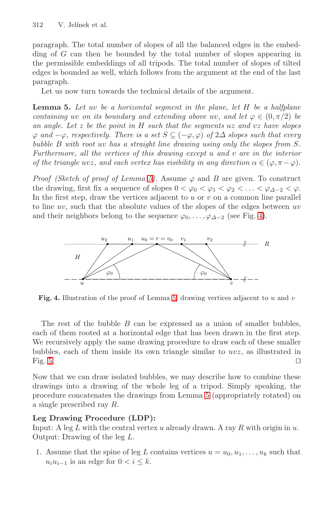#### <span id="page-8-0"></span>312 V. Jelínek et al.

paragraph. The total number of slopes of all the balanced edges in the embedding of G can then be bounded by the total number of slopes appearing in the permissible embeddings of all tripods. The total number of slopes of tilted edges is bounded as well, which follows from the argument at the end of the last paragraph.

Let us now turn towards the technical details of the argument.

**Lemma 5.** *Le[t](#page-8-0)* uv *be a horizontal segment in the plane, let* H *be a halfplane containing* uv *on its boundary and extending above uv, and let*  $\varphi \in (0, \pi/2)$  *be an angle. Let* z *be the point in* H *such that the segments* uz *and* vz *have slopes*  $\varphi$  *and*  $-\varphi$ *, respectively. There is a set*  $S \subseteq (-\varphi, \varphi)$  *of*  $2\Delta$  *slopes such that every bubble* B *with root* uv *has a straight line drawi[ng](#page-8-1) using only the slopes from* S*. Furthermore, all the vertices of this drawing except* u *and* v *are in the interior of the triangle uvz, and each vertex has visibility in any direction*  $\alpha \in (\varphi, \pi - \varphi)$ *.* 

*Proof (Sketch of proof of Lemma 5).* Assume  $\varphi$  and B are given. To construct the drawing, first fix a sequence of slopes  $0 < \varphi_0 < \varphi_1 < \varphi_2 < \ldots < \varphi_{\Delta-2} < \varphi$ . In the first step, draw the vertices adjacent to  $u$  or  $v$  on a common line parallel to line  $uv$ , such that the absolute values of the slopes of the edges between  $uv$ and their neighbors belong to the sequence  $\varphi_0, \ldots, \varphi_{\Delta-2}$  (see Fig. 4).

<span id="page-8-1"></span>

**Fig. 4.** Illustration of the proof of Lemma 5: drawing vertices adjacent to u and v

The rest of the bubble  $B$  c[an](#page-8-0) be expressed as a union of smaller bubbles, each of them rooted at a horizontal edge that has been drawn in the first step. We recursively apply the same drawing procedure to draw each of these smaller bubbles, each of them inside its own triangle similar to  $uvz$ , as illustrated in Fig. 5.

Now that we can draw isolated bubbles, we may describe how to combine these drawings into a drawing of the whole leg of a tripod. Simply speaking, the procedure concatenates the drawings from Lemma 5 (appropriately rotated) on a single prescribed ray R.

### **Leg Drawing Procedure (LDP):**

Input: A leg L with the central vertex u already drawn. A ray R with origin in u. Output: Drawing of the leg L.

1. Assume that the spine of leg L contains vertices  $u = u_0, u_1, \ldots, u_k$  such that  $u_i u_{i-1}$  is an edge for  $0 < i \leq k$ .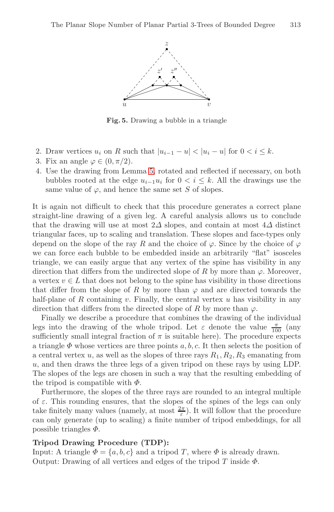

**Fig. 5.** Drawing a bubble in a triangle

- 2. Draw vertices  $u_i$  on R such that  $|u_{i-1} u| < |u_i u|$  for  $0 < i \leq k$ .
- 3. Fix an angle  $\varphi \in (0, \pi/2)$ .
- 4. Use the drawing from Lemma 5, rotated and reflected if necessary, on both bubbles rooted at the edge  $u_{i-1}u_i$  for  $0 < i \leq k$ . All the drawings use the same value of  $\varphi$ , and hence the same set S of slopes.

It is again not difficult to check that this procedure generates a correct plane straight-line drawing of a given leg. A careful analysis allows us to conclude that the drawing will use at most  $2\Delta$  slopes, and contain at most  $4\Delta$  distinct triangular faces, up to scaling and translation. These slopes and face-types only depend on the slope of the ray R and the choice of  $\varphi$ . Since by the choice of  $\varphi$ we can force each bubble to be embedded inside an arbitrarily "flat" isosceles triangle, we can easily argue that any vertex of the spine has visibility in any direction that differs from the undirected slope of R by more than  $\varphi$ . Moreover, a vertex  $v \in L$  that does not belong to the spine has visibility in those directions that differ from the slope of R by more than  $\varphi$  and are directed towards the half-plane of  $R$  containing  $v$ . Finally, the central vertex  $u$  has visibility in any direction that differs from the directed slope of R by more than  $\varphi$ .

Finally we describe a procedure that combines the drawing of the individual legs into the drawing of the whole tripod. Let  $\varepsilon$  denote the value  $\frac{\pi}{100}$  (any sufficiently small integral fraction of  $\pi$  is suitable here). The procedure expects a triangle  $\Phi$  whose vertices are three points a, b, c. It then selects the position of a central vertex u, as well as the slopes of three rays  $R_1, R_2, R_3$  emanating from u, and then draws the three legs of a given tripod on these rays by using LDP. The slopes of the legs are chosen in such a way that the resulting embedding of the tripod is compatible with  $\Phi$ .

Furthermore, the slopes of the three rays are rounded to an integral multiple of  $\varepsilon$ . This rounding ensures, that the slopes of the spines of the legs can only take finitely many values (namely, at most  $\frac{2\pi}{\varepsilon}$ ). It will follow that the procedure can only generate (up to scaling) a finite number of tripod embeddings, for all possible triangles  $\Phi$ .

### **Tripod Drawing Procedure (TDP):**

Input: A triangle  $\Phi = \{a, b, c\}$  and a tripod T, where  $\Phi$  is already drawn. Output: Drawing of all vertices and edges of the tripod  $T$  inside  $\Phi$ .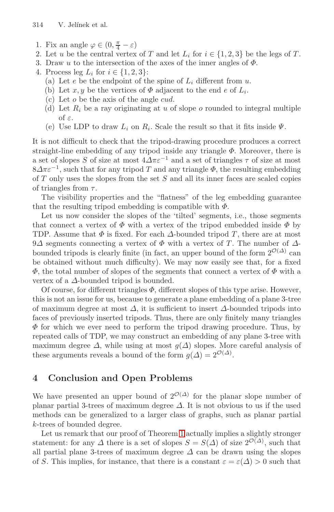- 314 V. Jelínek et al.
- 1. Fix an angle  $\varphi \in (0, \frac{\pi}{4} \varepsilon)$
- 2. Let u be the central vertex of T and let  $L_i$  for  $i \in \{1,2,3\}$  be the legs of T.
- 3. Draw u to the intersection of the axes of the inner angles of  $\Phi$ .
- 4. Process leg  $L_i$  for  $i \in \{1,2,3\}$ :
	- (a) Let  $e$  be the endpoint of the spine of  $L_i$  different from u.
	- (b) Let x, y be the vertices of  $\Phi$  adjacent to the end e of  $L_i$ .
	- (c) Let o be the axis of the angle cud.
	- (d) Let  $R_i$  be a ray originating at u of slope o rounded to integral multiple of ε.
	- (e) Use LDP to draw  $L_i$  on  $R_i$ . Scale the result so that it fits inside  $\Psi$ .

It is not difficult to check that the tripod-drawing procedure produces a correct straight-line embedding of any tripod inside any triangle  $\Phi$ . Moreover, there is a set of slopes S of size at most  $4\Delta\pi\varepsilon^{-1}$  and a set of triangles  $\tau$  of size at most  $8\Delta\pi\varepsilon^{-1}$ , such that for any tripod T and any triangle  $\Phi$ , the resulting embedding of  $T$  only uses the slopes from the set  $S$  and all its inner faces are scaled copies of triangles from  $\tau$ .

The visibility properties and the "flatness" of the leg embedding guarantee that the resulting tripod embedding is compatible with  $\Phi$ .

Let us now consider the slopes of the 'tilted' segments, i.e., those segments that connect a vertex of  $\Phi$  with a vertex of the tripod embedded inside  $\Phi$  by TDP. Assume that  $\Phi$  is fixed. For each  $\Delta$ -bounded tripod T, there are at most 9 $\Delta$  segments connecting a vertex of  $\Phi$  with a vertex of T. The number of  $\Delta$ bounded tripods is clearly finite (in fact, an upper bound of the form  $2^{\mathcal{O}(\Delta)}$  can be obtained without much difficulty). We may now easily see that, for a fixed  $\Phi$ , the total number of slopes of the segments that connect a vertex of  $\Phi$  with a vertex of a  $\Delta$ -bounded tripod is bounded.

Of course, for different triangles  $\Phi$ , different slopes of this type arise. However, this is not an issue for us, because to generate a plane embedding of a plane 3-tree of maximum degree at most  $\Delta$ , it is sufficient to insert  $\Delta$ -bounded tripods into faces of previously inserted tripods. Thus, there are only finitely many triangles  $\Phi$  for which we ever need to perform the tripod drawing procedure. Thus, by repeated calls of TDP, we may construct an embedding of any plane 3-tree with maximum degree  $\Delta$ , while using at most  $g(\Delta)$  slopes. More careful analysis of these arguments reveals a bound of the form  $g(\Delta) = 2^{\mathcal{O}(\Delta)}$ .

# **4 Conclusion and Open Problems**

We have presented an upper bound of  $2^{\mathcal{O}(\Delta)}$  for the planar slope number of planar partial 3-trees of maximum degree  $\Delta$ . It is not obvious to us if the used methods can be generalized to a larger class of graphs, such as planar partial k-trees of bounded degree.

Let us remark that our proof of Theorem 1 actually implies a slightly stronger statement: for any  $\Delta$  there is a set of slopes  $S = S(\Delta)$  of size  $2^{\mathcal{O}(\Delta)}$ , such that all partial plane 3-trees of maximum degree  $\Delta$  can be drawn using the slopes of S. This implies, for instance, that there is a constant  $\varepsilon = \varepsilon(\Delta) > 0$  such that